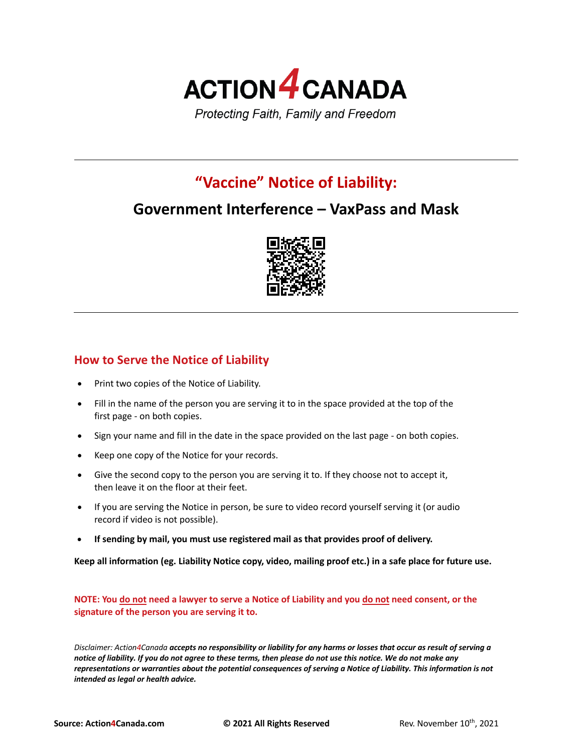

# **"Vaccine" Notice of Liability:**

## **Government Interference – VaxPass and Mask**



### **How to Serve the Notice of Liability**

- Print two copies of the Notice of Liability.
- Fill in the name of the person you are serving it to in the space provided at the top of the first page - on both copies.
- Sign your name and fill in the date in the space provided on the last page on both copies.
- Keep one copy of the Notice for your records.
- Give the second copy to the person you are serving it to. If they choose not to accept it, then leave it on the floor at their feet.
- If you are serving the Notice in person, be sure to video record yourself serving it (or audio record if video is not possible).
- **If sending by mail, you must use registered mail as that provides proof of delivery.**

**Keep all information (eg. Liability Notice copy, video, mailing proof etc.) in a safe place for future use.**

**NOTE: You do not need a lawyer to serve a Notice of Liability and you do not need consent, or the signature of the person you are serving it to.**

*Disclaimer: Action4Canada accepts no responsibility or liability for any harms or losses that occur as result of serving a notice of liability. If you do not agree to these terms, then please do not use this notice. We do not make any representations or warranties about the potential consequences of serving a Notice of Liability. This information is not intended as legal or health advice.*